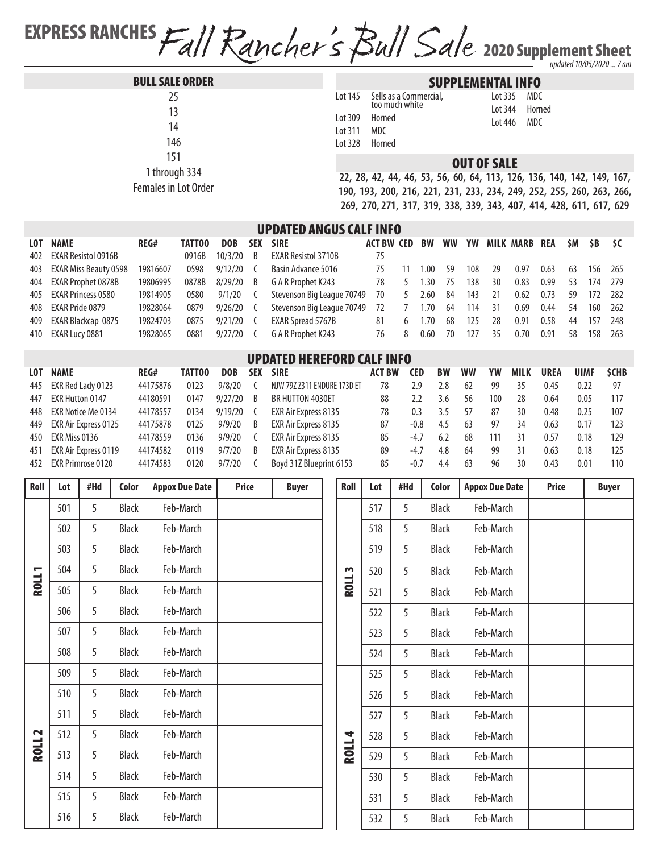EXPRESS RANCHES Fall Rancher's Bull Sale 2020 Supplement Sheet *updated 10/05/2020 ... 7 am*

|  | <b>BULL SALE ORDER</b> |  |
|--|------------------------|--|
|  |                        |  |

 1 through 334 Females in Lot Order

## SUPPLEMENTAL INFO

|         | Lot 145 Sells as a Commercial,<br>too much white |
|---------|--------------------------------------------------|
| Lot 309 | Horned                                           |
| Lot 311 | MDC                                              |
| Lot 328 | Horned                                           |

Lot 335 MDC Lot 344 Horned Lot 446 MDC

## OUT OF SALE

**22, 28, 42, 44, 46, 53, 56, 60, 64, 113, 126, 136, 140, 142, 149, 167, 190, 193, 200, 216, 221, 231, 233, 234, 249, 252, 255, 260, 263, 266, 269, 270, 271, 317, 319, 338, 339, 343, 407, 414, 428, 611, 617, 629**

## UPDATED ANGUS CALF INFO

| <b>LOT</b> | <b>NAME</b>               | REG#     | <b>TATTOO</b> | <b>DOB</b>  | <b>SEX</b>   | <b>SIRE</b>                   | <b>ACT BW CED</b> |    | BW   |      |       |    | WW YW MILK MARB | REA  | \$M | \$B     | - \$C |
|------------|---------------------------|----------|---------------|-------------|--------------|-------------------------------|-------------------|----|------|------|-------|----|-----------------|------|-----|---------|-------|
|            | 402 EXAR Resistol 0916B   |          | 0916B         | 10/3/20     | <sup>B</sup> | <b>EXAR Resistol 3710B</b>    | 75                |    |      |      |       |    |                 |      |     |         |       |
|            | 403 EXAR Miss Beauty 0598 | 19816607 | 0598          | $9/12/20$ C |              | Basin Advance 5016            | 75                | 11 | 1.00 | -59  | 108   | 29 | 0.97            | 0.63 | 63  | 156 265 |       |
|            | 404 EXAR Prophet 0878B    | 19806995 | 0878B         | 8/29/20     | B            | G A R Prophet K243            | 78                | -5 | 1.30 | 75   | 138   | 30 | 0.83            | 0.99 | 53  | 174 279 |       |
|            | 405 EXAR Princess 0580    | 19814905 | 0580          | 9/1/20      | <sup>L</sup> | Stevenson Big League 70749 70 |                   | 5  | 2.60 | - 84 | 143   | 21 | 0.62            | 0.73 | 59  | 172 282 |       |
|            | 408 EXAR Pride 0879       | 19828064 | 0879          | $9/26/20$ C |              | Stevenson Big League 70749    | 72                |    | 1.70 | - 64 | - 114 | 31 | 0.69            | 0.44 | -54 | 160 262 |       |
|            | 409 EXAR Blackcap 0875    | 19824703 | 0875          | $9/21/20$ C |              | EXAR Spread 5767B             | 81                | 6  | 1.70 | 68   | 125   | 28 | 0.91            | 0.58 | 44  | 157     | - 248 |
|            | 410 EXAR Lucy 0881        | 19828065 | 0881          | 9/27/20     |              | G A R Prophet K243            | 76                | 8  | 0.60 | 70   | 127   | 35 | 0.70            | 0.91 | 58  | 158 263 |       |
|            |                           |          |               |             |              |                               |                   |    |      |      |       |    |                 |      |     |         |       |

## UPDATED HEREFORD CALF INFO

| <b>LOT</b> | <b>NAME</b>          | REG#     | TATTOO | <b>DOB</b> | <b>SEX</b> | <b>SIRE</b>                 | <b>ACT BW</b> | CED    | <b>BW</b> | <b>WW</b> | YW  | <b>MILK</b> | <b>UREA</b> | <b>UIMF</b> | <b>SCHB</b> |
|------------|----------------------|----------|--------|------------|------------|-----------------------------|---------------|--------|-----------|-----------|-----|-------------|-------------|-------------|-------------|
| 445        | EXR Red Lady 0123    | 44175876 | 0123   | 9/8/20     |            | NJW 79Z Z311 ENDURE 173D ET | 78            | 2.9    | 2.8       | 62        | 99  | 35          | 0.45        | 0.22        | 97          |
| 447        | EXR Hutton 0147      | 44180591 | 0147   | 9/27/20    | B          | BR HUTTON 4030ET            | 88            | 2.2    | 3.6       | 56        | 100 | 28          | 0.64        | 0.05        | 117         |
| 448        | EXR Notice Me 0134   | 44178557 | 0134   | 9/19/20    |            | EXR Air Express 8135        | 78            | 0.3    |           |           | 87  | 30          | 0.48        | 0.25        | 107         |
| 449        | EXR Air Express 0125 | 44175878 | 0125   | 9/9/20     | B          | EXR Air Express 8135        | 87            | $-0.8$ | 4.5       | 63        | 97  | 34          | 0.63        | 0.17        | 123         |
| 450        | EXR Miss 0136        | 44178559 | 0136   | 9/9/20     |            | EXR Air Express 8135        | 85            | $-4.7$ | 6.2       | 68        | 111 |             | 0.57        | 0.18        | 129         |
| 451        | EXR Air Express 0119 | 44174582 | 0119   | 9/7/20     | B          | EXR Air Express 8135        | 89            | $-4.7$ | 4.8       | 64        | 99  |             | 0.63        | 0.18        | 125         |
| 452        | EXR Primrose 0120    | 44174583 | 0120   | 9/7/20     |            | Boyd 31Z Blueprint 6153     | 85            | $-0.7$ | 4.4       | -63       | 96  | 30          | 0.43        | 0.01        | 110         |

| Roll           | Lot | #Hd | Color        | <b>Appox Due Date</b> | <b>Price</b> | <b>Buyer</b> | Roll         | Lot | #Hd | Color        | <b>Appox Due Date</b> | Price | <b>Buyer</b> |
|----------------|-----|-----|--------------|-----------------------|--------------|--------------|--------------|-----|-----|--------------|-----------------------|-------|--------------|
|                | 501 | 5   | <b>Black</b> | Feb-March             |              |              |              | 517 | 5   | <b>Black</b> | Feb-March             |       |              |
|                | 502 | 5   | <b>Black</b> | Feb-March             |              |              |              | 518 | 5   | <b>Black</b> | Feb-March             |       |              |
|                | 503 | 5   | <b>Black</b> | Feb-March             |              |              |              | 519 | 5   | <b>Black</b> | Feb-March             |       |              |
| $\blacksquare$ | 504 | 5   | <b>Black</b> | Feb-March             |              |              | m            | 520 | 5   | Black        | Feb-March             |       |              |
| <b>HOS</b>     | 505 | 5   | <b>Black</b> | Feb-March             |              |              | <b>ROLL</b>  | 521 | 5   | <b>Black</b> | Feb-March             |       |              |
|                | 506 | 5   | <b>Black</b> | Feb-March             |              |              |              | 522 | 5   | <b>Black</b> | Feb-March             |       |              |
|                | 507 | 5   | <b>Black</b> | Feb-March             |              |              |              | 523 | 5   | <b>Black</b> | Feb-March             |       |              |
|                | 508 | 5   | <b>Black</b> | Feb-March             |              |              |              | 524 | 5   | Black        | Feb-March             |       |              |
|                | 509 | 5   | <b>Black</b> | Feb-March             |              |              |              | 525 | 5   | <b>Black</b> | Feb-March             |       |              |
|                | 510 | 5   | <b>Black</b> | Feb-March             |              |              |              | 526 | 5   | <b>Black</b> | Feb-March             |       |              |
|                | 511 | 5   | <b>Black</b> | Feb-March             |              |              |              | 527 | 5   | <b>Black</b> | Feb-March             |       |              |
| $\sim$         | 512 | 5   | <b>Black</b> | Feb-March             |              |              |              | 528 | 5   | <b>Black</b> | Feb-March             |       |              |
| ROLL.          | 513 | 5   | <b>Black</b> | Feb-March             |              |              | <b>ROLL4</b> | 529 | 5   | <b>Black</b> | Feb-March             |       |              |
|                | 514 | 5   | <b>Black</b> | Feb-March             |              |              |              | 530 | 5   | Black        | Feb-March             |       |              |
|                | 515 | 5   | <b>Black</b> | Feb-March             |              |              |              | 531 | 5   | <b>Black</b> | Feb-March             |       |              |
|                | 516 | 5   | <b>Black</b> | Feb-March             |              |              |              | 532 | 5   | Black        | Feb-March             |       |              |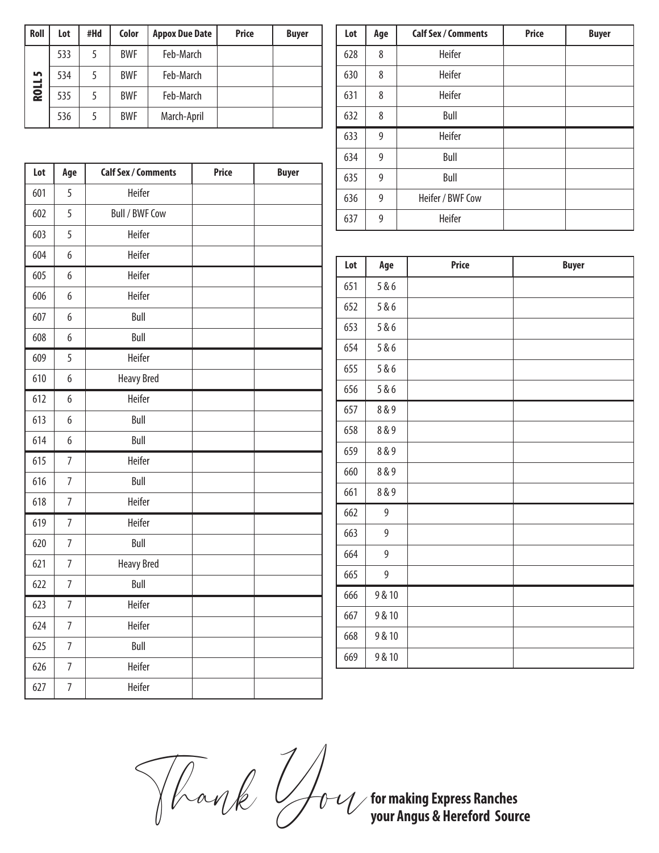| Roll          | Lot | #Hd | Color      | <b>Appox Due Date</b> | <b>Price</b> | <b>Buyer</b> |
|---------------|-----|-----|------------|-----------------------|--------------|--------------|
|               | 533 | 5   | <b>BWF</b> | Feb-March             |              |              |
| <b>ROLL 5</b> | 534 | 5   | <b>BWF</b> | Feb-March             |              |              |
|               | 535 | 5   | <b>BWF</b> | Feb-March             |              |              |
|               | 536 | 5   | <b>BWF</b> | March-April           |              |              |

| Lot | Age            | <b>Calf Sex / Comments</b> | <b>Price</b> | <b>Buyer</b> |
|-----|----------------|----------------------------|--------------|--------------|
| 601 | 5              | Heifer                     |              |              |
| 602 | 5              | <b>Bull / BWF Cow</b>      |              |              |
| 603 | 5              | Heifer                     |              |              |
| 604 | 6              | Heifer                     |              |              |
| 605 | 6              | Heifer                     |              |              |
| 606 | 6              | Heifer                     |              |              |
| 607 | 6              | Bull                       |              |              |
| 608 | 6              | Bull                       |              |              |
| 609 | 5              | Heifer                     |              |              |
| 610 | 6              | <b>Heavy Bred</b>          |              |              |
| 612 | 6              | Heifer                     |              |              |
| 613 | 6              | Bull                       |              |              |
| 614 | 6              | Bull                       |              |              |
| 615 | $\overline{7}$ | Heifer                     |              |              |
| 616 | $\overline{7}$ | Bull                       |              |              |
| 618 | $\overline{7}$ | Heifer                     |              |              |
| 619 | $\overline{7}$ | Heifer                     |              |              |
| 620 | $\overline{7}$ | Bull                       |              |              |
| 621 | $\overline{7}$ | <b>Heavy Bred</b>          |              |              |
| 622 | $\overline{7}$ | Bull                       |              |              |
| 623 | $\overline{7}$ | Heifer                     |              |              |
| 624 | $\overline{7}$ | Heifer                     |              |              |
| 625 | $\overline{7}$ | Bull                       |              |              |
| 626 | $\overline{7}$ | Heifer                     |              |              |
| 627 | $\overline{7}$ | Heifer                     |              |              |

| Lot | Age | <b>Calf Sex / Comments</b> | <b>Price</b> | <b>Buyer</b> |
|-----|-----|----------------------------|--------------|--------------|
| 628 | 8   | Heifer                     |              |              |
| 630 | 8   | Heifer                     |              |              |
| 631 | 8   | Heifer                     |              |              |
| 632 | 8   | Bull                       |              |              |
| 633 | 9   | Heifer                     |              |              |
| 634 | 9   | Bull                       |              |              |
| 635 | 9   | Bull                       |              |              |
| 636 | 9   | Heifer / BWF Cow           |              |              |
| 637 | 9   | Heifer                     |              |              |

| Lot | Age    | <b>Price</b> | <b>Buyer</b> |
|-----|--------|--------------|--------------|
| 651 | 5&6    |              |              |
| 652 | 5 & 6  |              |              |
| 653 | 5&6    |              |              |
| 654 | 5 & 6  |              |              |
| 655 | 5 & 6  |              |              |
| 656 | 5 & 6  |              |              |
| 657 | 8 & 9  |              |              |
| 658 | 8 & 9  |              |              |
| 659 | 8 & 9  |              |              |
| 660 | 8 & 9  |              |              |
| 661 | 8 & 9  |              |              |
| 662 | 9      |              |              |
| 663 | 9      |              |              |
| 664 | 9      |              |              |
| 665 | 9      |              |              |
| 666 | 9 & 10 |              |              |
| 667 | 9 & 10 |              |              |
| 668 | 9 & 10 |              |              |
| 669 | 9 & 10 |              |              |

Thank You

**for making Express Ranches your Angus & Hereford Source**